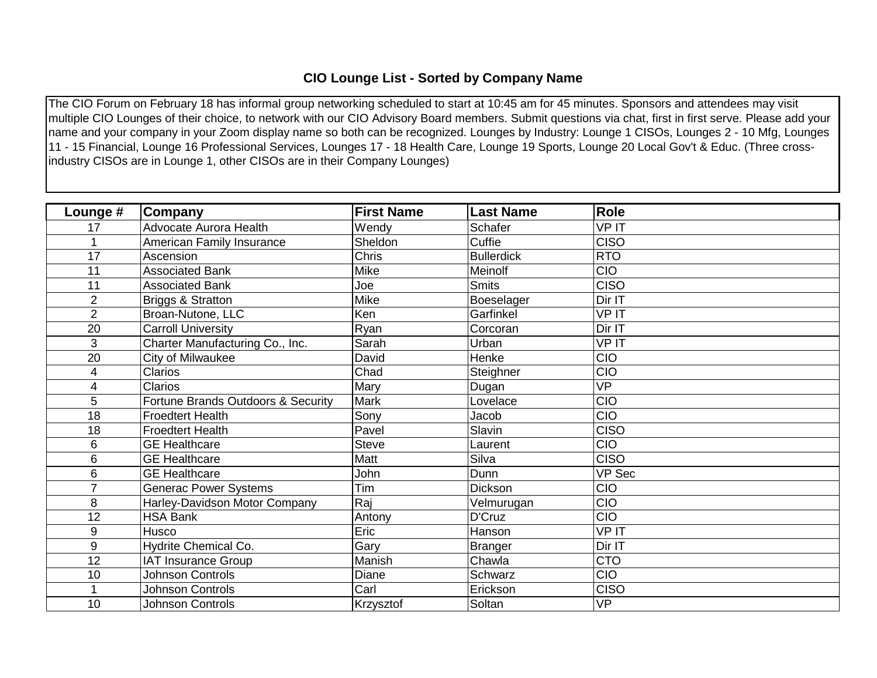## **CIO Lounge List - Sorted by Company Name**

The CIO Forum on February 18 has informal group networking scheduled to start at 10:45 am for 45 minutes. Sponsors and attendees may visit multiple CIO Lounges of their choice, to network with our CIO Advisory Board members. Submit questions via chat, first in first serve. Please add your name and your company in your Zoom display name so both can be recognized. Lounges by Industry: Lounge 1 CISOs, Lounges 2 - 10 Mfg, Lounges 11 - 15 Financial, Lounge 16 Professional Services, Lounges 17 - 18 Health Care, Lounge 19 Sports, Lounge 20 Local Gov't & Educ. (Three crossindustry CISOs are in Lounge 1, other CISOs are in their Company Lounges)

| Lounge #       | Company                            | <b>First Name</b> | <b>Last Name</b>  | <b>Role</b>   |
|----------------|------------------------------------|-------------------|-------------------|---------------|
| 17             | Advocate Aurora Health             | Wendy             | Schafer           | <b>VPIT</b>   |
|                | American Family Insurance          | Sheldon           | Cuffie            | <b>CISO</b>   |
| 17             | Ascension                          | <b>Chris</b>      | <b>Bullerdick</b> | <b>RTO</b>    |
| 11             | <b>Associated Bank</b>             | Mike              | Meinolf           | <b>CIO</b>    |
| 11             | <b>Associated Bank</b>             | Joe               | <b>Smits</b>      | <b>CISO</b>   |
| $\overline{2}$ | Briggs & Stratton                  | Mike              | Boeselager        | Dir IT        |
| $\overline{2}$ | Broan-Nutone, LLC                  | Ken               | Garfinkel         | <b>VPIT</b>   |
| 20             | <b>Carroll University</b>          | Ryan              | Corcoran          | Dir IT        |
| 3              | Charter Manufacturing Co., Inc.    | Sarah             | Urban             | <b>VPIT</b>   |
| 20             | City of Milwaukee                  | David             | Henke             | CIO           |
| 4              | <b>Clarios</b>                     | Chad              | Steighner         | CIO           |
| 4              | <b>Clarios</b>                     | Mary              | Dugan             | <b>VP</b>     |
| 5              | Fortune Brands Outdoors & Security | <b>Mark</b>       | Lovelace          | CIO           |
| 18             | <b>Froedtert Health</b>            | Sony              | Jacob             | <b>CIO</b>    |
| 18             | <b>Froedtert Health</b>            | Pavel             | Slavin            | <b>CISO</b>   |
| 6              | <b>GE Healthcare</b>               | <b>Steve</b>      | Laurent           | <b>CIO</b>    |
| 6              | <b>GE Healthcare</b>               | Matt              | Silva             | <b>CISO</b>   |
| 6              | <b>GE Healthcare</b>               | John              | Dunn              | <b>VP Sec</b> |
| $\overline{7}$ | <b>Generac Power Systems</b>       | Tim               | Dickson           | CIO           |
| 8              | Harley-Davidson Motor Company      | Raj               | Velmurugan        | CIO           |
| 12             | <b>HSA Bank</b>                    | Antony            | D'Cruz            | CIO           |
| 9              | Husco                              | <b>Eric</b>       | Hanson            | <b>VPIT</b>   |
| 9              | Hydrite Chemical Co.               | Gary              | Branger           | Dir IT        |
| 12             | <b>IAT Insurance Group</b>         | Manish            | Chawla            | <b>CTO</b>    |
| 10             | <b>Johnson Controls</b>            | Diane             | Schwarz           | CIO           |
| 1              | <b>Johnson Controls</b>            | Carl              | Erickson          | <b>CISO</b>   |
| 10             | <b>Johnson Controls</b>            | Krzysztof         | Soltan            | <b>VP</b>     |